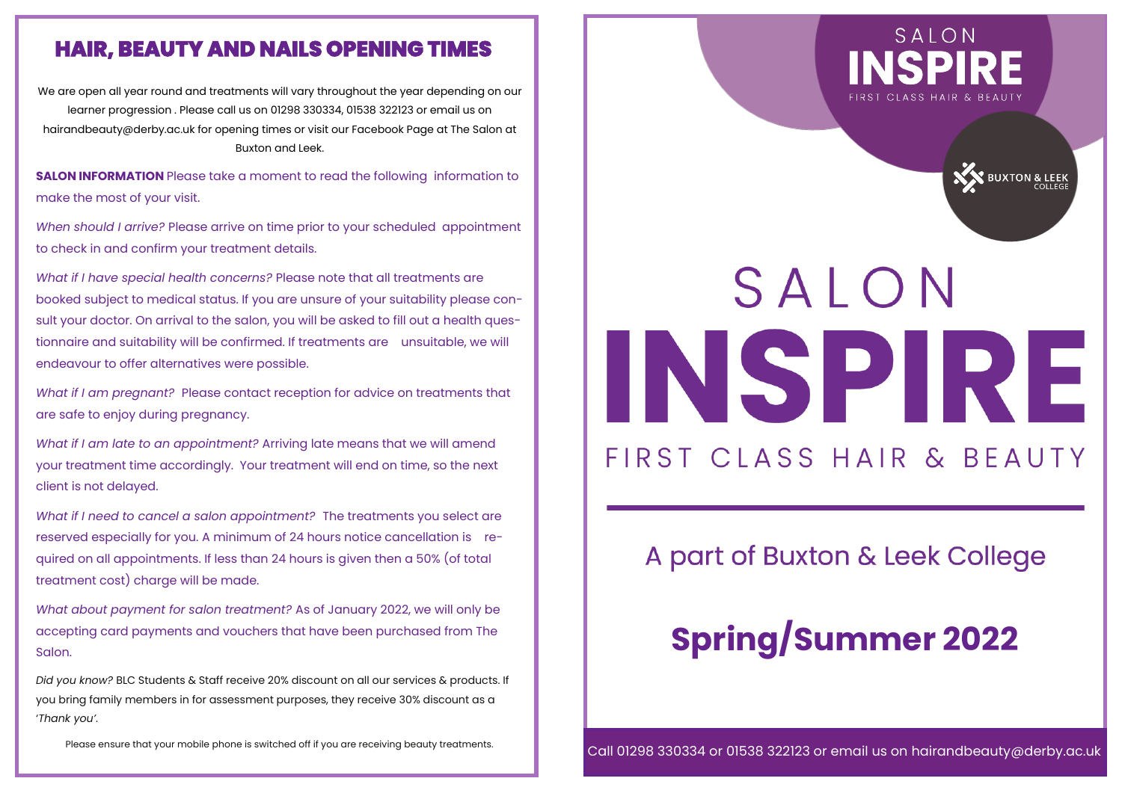#### **HAIR, BEAUTY AND NAILS OPENING TIMES**

We are open all year round and treatments will vary throughout the year depending on our learner progression . Please call us on 01298 330334, 01538 322123 or email us on hairandbeauty@derby.ac.uk for opening times or visit our Facebook Page at The Salon at Buxton and Leek.

**SALON INFORMATION** Please take a moment to read the following information to make the most of your visit.

*When should I arrive?* Please arrive on time prior to your scheduled appointment to check in and confirm your treatment details.

*What if I have special health concerns?* Please note that all treatments are booked subject to medical status. If you are unsure of your suitability please consult your doctor. On arrival to the salon, you will be asked to fill out a health questionnaire and suitability will be confirmed. If treatments are unsuitable, we will endeavour to offer alternatives were possible.

*What if I am pregnant?* Please contact reception for advice on treatments that are safe to enjoy during pregnancy.

*What if I am late to an appointment?* Arriving late means that we will amend your treatment time accordingly. Your treatment will end on time, so the next client is not delayed.

*What if I need to cancel a salon appointment?* The treatments you select are reserved especially for you. A minimum of 24 hours notice cancellation is required on all appointments. If less than 24 hours is given then a 50% (of total treatment cost) charge will be made.

*What about payment for salon treatment?* As of January 2022, we will only be accepting card payments and vouchers that have been purchased from The Salon.

*Did you know?* BLC Students & Staff receive 20% discount on all our services & products. If you bring family members in for assessment purposes, they receive 30% discount as a '*Thank you'*.

Please ensure that your mobile phone is switched off if you are receiving beauty treatments.



**NEW BUXTON & LEEK** 

# SALON INSPIRE FIRST CLASS HAIR & BEAUTY

### A part of Buxton & Leek College

### **Spring/Summer 2022**